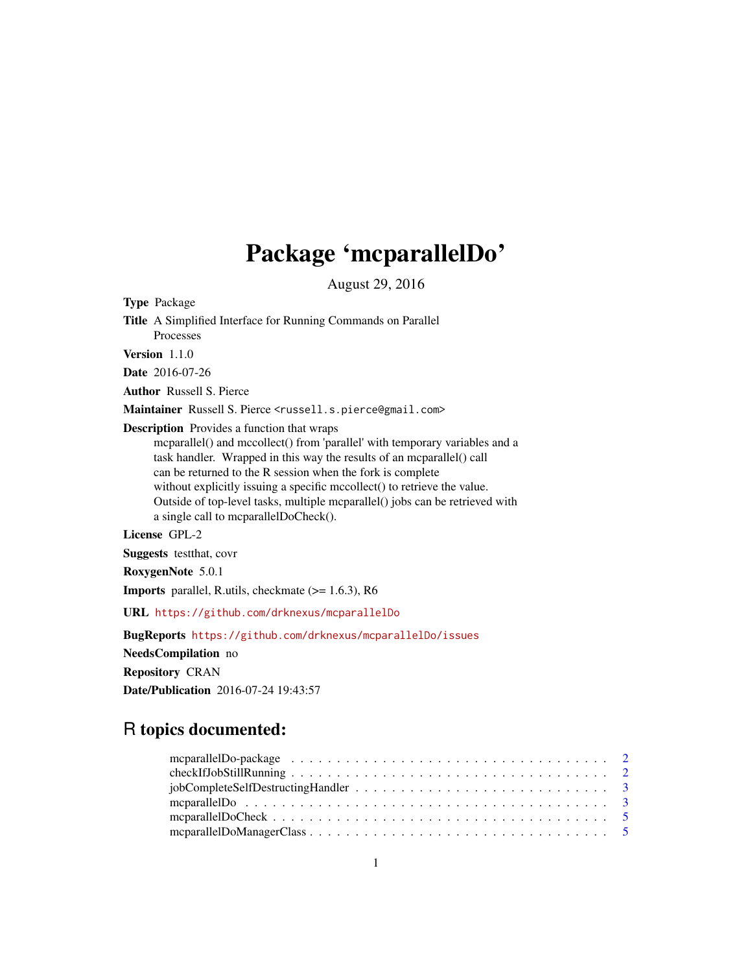## Package 'mcparallelDo'

August 29, 2016

Type Package

Title A Simplified Interface for Running Commands on Parallel Processes Version 1.1.0 Date 2016-07-26 Author Russell S. Pierce Maintainer Russell S. Pierce <russell.s.pierce@gmail.com> Description Provides a function that wraps mcparallel() and mccollect() from 'parallel' with temporary variables and a

task handler. Wrapped in this way the results of an mcparallel() call can be returned to the R session when the fork is complete without explicitly issuing a specific mccollect() to retrieve the value. Outside of top-level tasks, multiple mcparallel() jobs can be retrieved with a single call to mcparallelDoCheck().

License GPL-2

Suggests testthat, covr

RoxygenNote 5.0.1

Imports parallel, R.utils, checkmate (>= 1.6.3), R6

URL <https://github.com/drknexus/mcparallelDo>

BugReports <https://github.com/drknexus/mcparallelDo/issues> NeedsCompilation no Repository CRAN Date/Publication 2016-07-24 19:43:57

### R topics documented: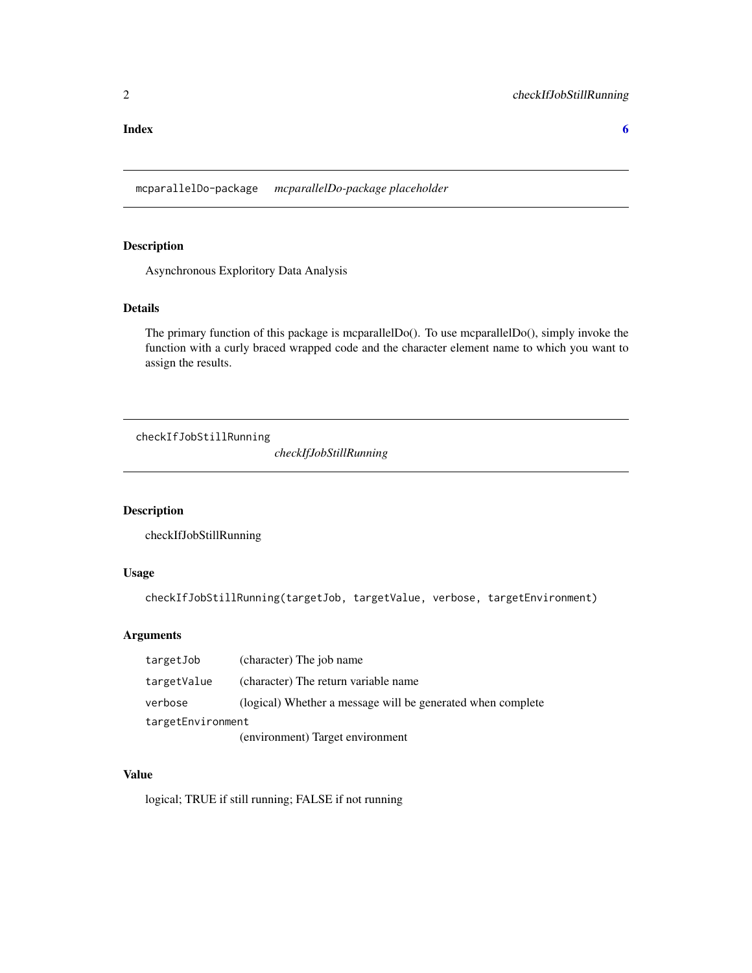#### <span id="page-1-0"></span>**Index** [6](#page-5-0) **6**

mcparallelDo-package *mcparallelDo-package placeholder*

#### Description

Asynchronous Exploritory Data Analysis

#### Details

The primary function of this package is mcparallelDo(). To use mcparallelDo(), simply invoke the function with a curly braced wrapped code and the character element name to which you want to assign the results.

checkIfJobStillRunning

*checkIfJobStillRunning*

#### Description

checkIfJobStillRunning

#### Usage

checkIfJobStillRunning(targetJob, targetValue, verbose, targetEnvironment)

#### Arguments

| targetJob         | (character) The job name                                    |  |  |
|-------------------|-------------------------------------------------------------|--|--|
| targetValue       | (character) The return variable name                        |  |  |
| verbose           | (logical) Whether a message will be generated when complete |  |  |
| targetEnvironment |                                                             |  |  |
|                   | (environment) Target environment                            |  |  |

#### Value

logical; TRUE if still running; FALSE if not running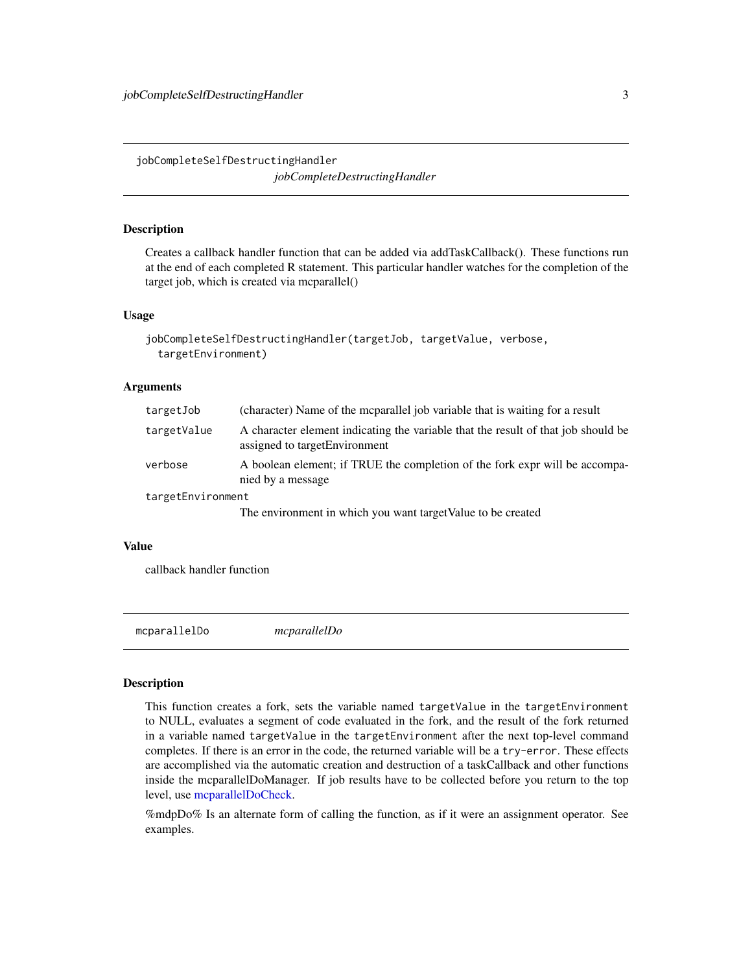<span id="page-2-0"></span>jobCompleteSelfDestructingHandler *jobCompleteDestructingHandler*

#### **Description**

Creates a callback handler function that can be added via addTaskCallback(). These functions run at the end of each completed R statement. This particular handler watches for the completion of the target job, which is created via mcparallel()

#### Usage

```
jobCompleteSelfDestructingHandler(targetJob, targetValue, verbose,
 targetEnvironment)
```
#### **Arguments**

| targetJob         | (character) Name of the mcparallel job variable that is waiting for a result                                        |
|-------------------|---------------------------------------------------------------------------------------------------------------------|
| targetValue       | A character element indicating the variable that the result of that job should be<br>assigned to target Environment |
| verbose           | A boolean element; if TRUE the completion of the fork expr will be accompa-<br>nied by a message                    |
| targetEnvironment |                                                                                                                     |
|                   | The environment in which you want target Value to be created                                                        |

#### Value

callback handler function

mcparallelDo *mcparallelDo*

#### Description

This function creates a fork, sets the variable named targetValue in the targetEnvironment to NULL, evaluates a segment of code evaluated in the fork, and the result of the fork returned in a variable named targetValue in the targetEnvironment after the next top-level command completes. If there is an error in the code, the returned variable will be a try-error. These effects are accomplished via the automatic creation and destruction of a taskCallback and other functions inside the mcparallelDoManager. If job results have to be collected before you return to the top level, use [mcparallelDoCheck.](#page-4-1)

%mdpDo% Is an alternate form of calling the function, as if it were an assignment operator. See examples.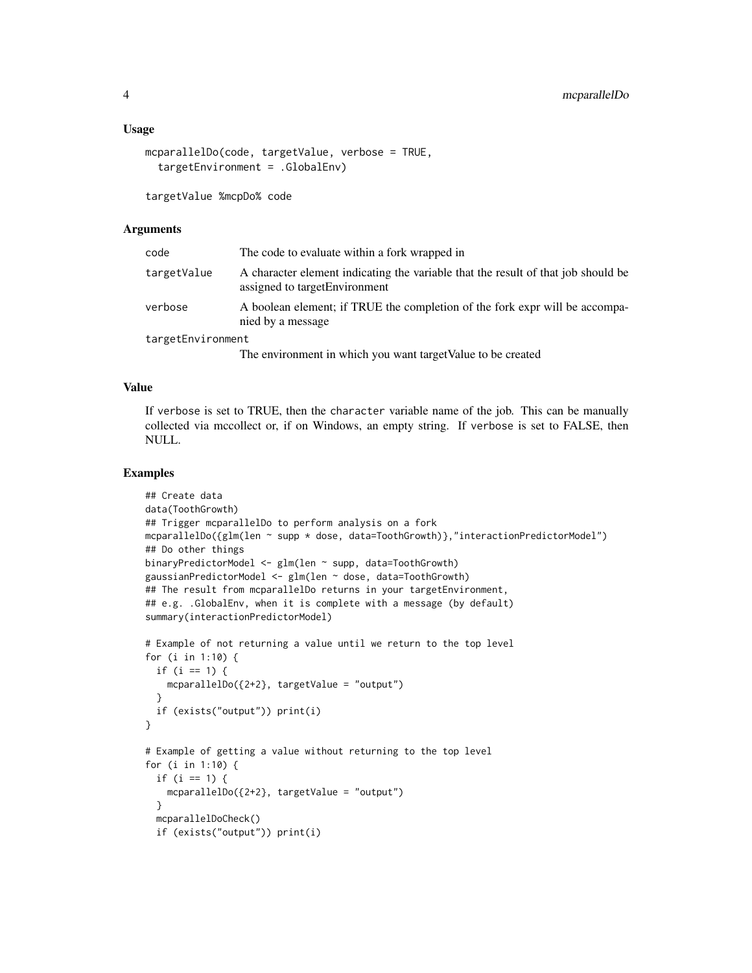#### Usage

```
mcparallelDo(code, targetValue, verbose = TRUE,
 targetEnvironment = .GlobalEnv)
```
targetValue %mcpDo% code

#### Arguments

| code              | The code to evaluate within a fork wrapped in                                                                       |
|-------------------|---------------------------------------------------------------------------------------------------------------------|
| targetValue       | A character element indicating the variable that the result of that job should be<br>assigned to target Environment |
| verbose           | A boolean element; if TRUE the completion of the fork expr will be accompa-<br>nied by a message                    |
| targetEnvironment |                                                                                                                     |

The environment in which you want targetValue to be created

#### Value

If verbose is set to TRUE, then the character variable name of the job. This can be manually collected via mccollect or, if on Windows, an empty string. If verbose is set to FALSE, then NULL.

#### Examples

```
## Create data
data(ToothGrowth)
## Trigger mcparallelDo to perform analysis on a fork
mcparallelDo({glm(len ~ supp * dose, data=ToothGrowth)},"interactionPredictorModel")
## Do other things
binaryPredictorModel <- glm(len ~ supp, data=ToothGrowth)
gaussianPredictorModel <- glm(len ~ dose, data=ToothGrowth)
## The result from mcparallelDo returns in your targetEnvironment,
## e.g. .GlobalEnv, when it is complete with a message (by default)
summary(interactionPredictorModel)
# Example of not returning a value until we return to the top level
for (i in 1:10) {
 if (i == 1) {
   mcparallelDo({2+2}, targetValue = "output")
 }
 if (exists("output")) print(i)
}
# Example of getting a value without returning to the top level
for (i in 1:10) {
 if (i == 1) {
   mcparallelDo({2+2}, targetValue = "output")
 }
 mcparallelDoCheck()
 if (exists("output")) print(i)
```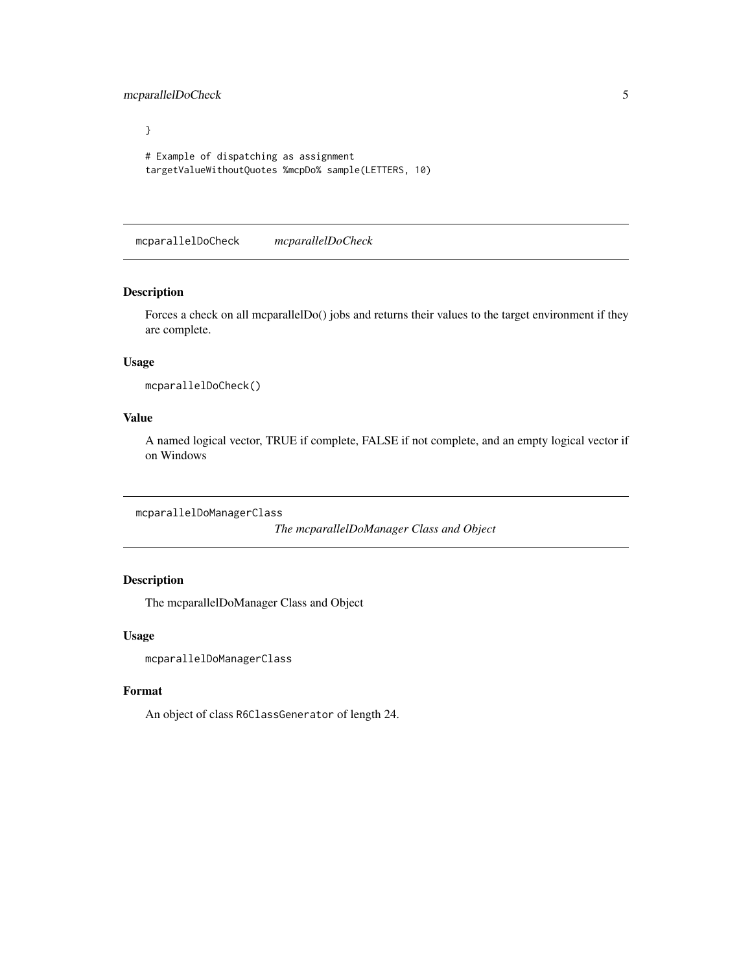<span id="page-4-0"></span>mcparallelDoCheck 5

} # Example of dispatching as assignment targetValueWithoutQuotes %mcpDo% sample(LETTERS, 10)

<span id="page-4-1"></span>mcparallelDoCheck *mcparallelDoCheck*

#### Description

Forces a check on all mcparallelDo() jobs and returns their values to the target environment if they are complete.

#### Usage

```
mcparallelDoCheck()
```
#### Value

A named logical vector, TRUE if complete, FALSE if not complete, and an empty logical vector if on Windows

mcparallelDoManagerClass

*The mcparallelDoManager Class and Object*

#### Description

The mcparallelDoManager Class and Object

#### Usage

mcparallelDoManagerClass

#### Format

An object of class R6ClassGenerator of length 24.